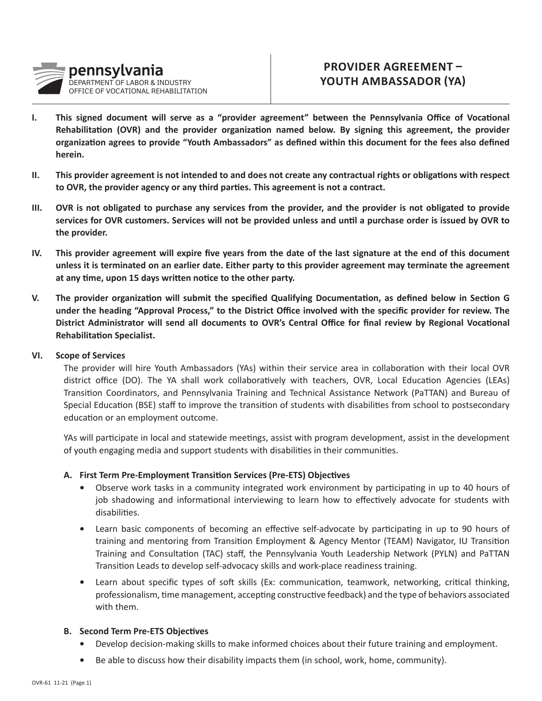

# **PROVIDER AGREEMENT – YOUTH AMBASSADOR (YA)**

- **I. This signed document will serve as a "provider agreement" between the Pennsylvania Office of Vocational Rehabilitation (OVR) and the provider organization named below. By signing this agreement, the provider organization agrees to provide "Youth Ambassadors" as defined within this document for the fees also defined herein.**
- **II. This provider agreement is not intended to and does not create any contractual rights or obligations with respect to OVR, the provider agency or any third parties. This agreement is not a contract.**
- **III. OVR is not obligated to purchase any services from the provider, and the provider is not obligated to provide services for OVR customers. Services will not be provided unless and until a purchase order is issued by OVR to the provider.**
- **IV. This provider agreement will expire five years from the date of the last signature at the end of this document unless it is terminated on an earlier date. Either party to this provider agreement may terminate the agreement at any time, upon 15 days written notice to the other party.**
- **V. The provider organization will submit the specified Qualifying Documentation, as defined below in Section G under the heading "Approval Process," to the District Office involved with the specific provider for review. The District Administrator will send all documents to OVR's Central Office for final review by Regional Vocational Rehabilitation Specialist.**

## **VI. Scope of Services**

The provider will hire Youth Ambassadors (YAs) within their service area in collaboration with their local OVR district office (DO). The YA shall work collaboratively with teachers, OVR, Local Education Agencies (LEAs) Transition Coordinators, and Pennsylvania Training and Technical Assistance Network (PaTTAN) and Bureau of Special Education (BSE) staff to improve the transition of students with disabilities from school to postsecondary education or an employment outcome.

YAs will participate in local and statewide meetings, assist with program development, assist in the development of youth engaging media and support students with disabilities in their communities.

## **A. First Term Pre-Employment Transition Services (Pre-ETS) Objectives**

- Observe work tasks in a community integrated work environment by participating in up to 40 hours of job shadowing and informational interviewing to learn how to effectively advocate for students with disabilities.
- Learn basic components of becoming an effective self-advocate by participating in up to 90 hours of training and mentoring from Transition Employment & Agency Mentor (TEAM) Navigator, IU Transition Training and Consultation (TAC) staff, the Pennsylvania Youth Leadership Network (PYLN) and PaTTAN Transition Leads to develop self-advocacy skills and work-place readiness training.
- Learn about specific types of soft skills (Ex: communication, teamwork, networking, critical thinking, professionalism, time management, accepting constructive feedback) and the type of behaviors associated with them.

#### **B. Second Term Pre-ETS Objectives**

- Develop decision-making skills to make informed choices about their future training and employment.
- Be able to discuss how their disability impacts them (in school, work, home, community).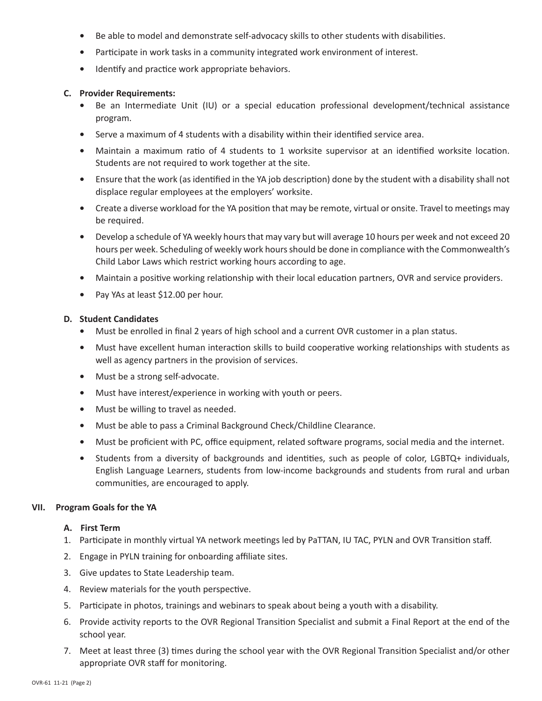- Be able to model and demonstrate self-advocacy skills to other students with disabilities.
- Participate in work tasks in a community integrated work environment of interest.
- Identify and practice work appropriate behaviors.

#### **C. Provider Requirements:**

- Be an Intermediate Unit (IU) or a special education professional development/technical assistance program.
- Serve a maximum of 4 students with a disability within their identified service area.
- Maintain a maximum ratio of 4 students to 1 worksite supervisor at an identified worksite location. Students are not required to work together at the site.
- Ensure that the work (as identified in the YA job description) done by the student with a disability shall not displace regular employees at the employers' worksite.
- Create a diverse workload for the YA position that may be remote, virtual or onsite. Travel to meetings may be required.
- Develop a schedule of YA weekly hours that may vary but will average 10 hours per week and not exceed 20 hours per week. Scheduling of weekly work hours should be done in compliance with the Commonwealth's Child Labor Laws which restrict working hours according to age.
- Maintain a positive working relationship with their local education partners, OVR and service providers.
- Pay YAs at least \$12.00 per hour.

#### **D. Student Candidates**

- Must be enrolled in final 2 years of high school and a current OVR customer in a plan status.
- Must have excellent human interaction skills to build cooperative working relationships with students as well as agency partners in the provision of services.
- Must be a strong self-advocate.
- Must have interest/experience in working with youth or peers.
- Must be willing to travel as needed.
- Must be able to pass a Criminal Background Check/Childline Clearance.
- Must be proficient with PC, office equipment, related software programs, social media and the internet.
- Students from a diversity of backgrounds and identities, such as people of color, LGBTQ+ individuals, English Language Learners, students from low-income backgrounds and students from rural and urban communities, are encouraged to apply.

## **VII. Program Goals for the YA**

#### **A. First Term**

- 1. Participate in monthly virtual YA network meetings led by PaTTAN, IU TAC, PYLN and OVR Transition staff.
- 2. Engage in PYLN training for onboarding affiliate sites.
- 3. Give updates to State Leadership team.
- 4. Review materials for the youth perspective.
- 5. Participate in photos, trainings and webinars to speak about being a youth with a disability.
- 6. Provide activity reports to the OVR Regional Transition Specialist and submit a Final Report at the end of the school year.
- 7. Meet at least three (3) times during the school year with the OVR Regional Transition Specialist and/or other appropriate OVR staff for monitoring.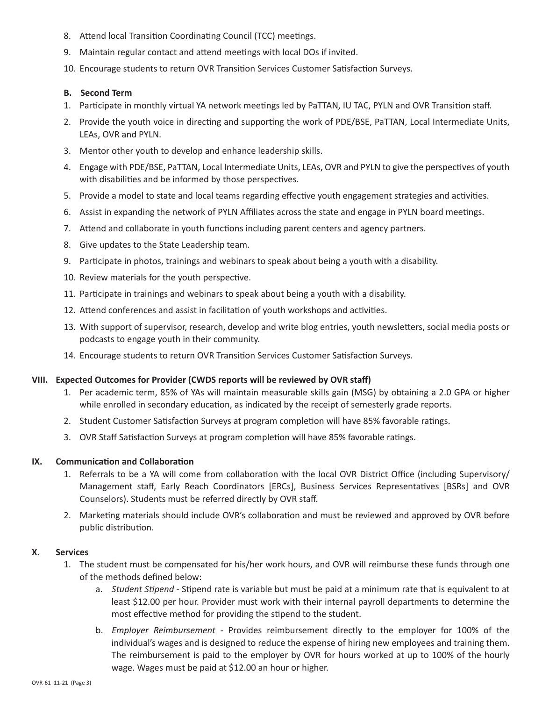- 8. Attend local Transition Coordinating Council (TCC) meetings.
- 9. Maintain regular contact and attend meetings with local DOs if invited.
- 10. Encourage students to return OVR Transition Services Customer Satisfaction Surveys.

#### **B. Second Term**

- 1. Participate in monthly virtual YA network meetings led by PaTTAN, IU TAC, PYLN and OVR Transition staff.
- 2. Provide the youth voice in directing and supporting the work of PDE/BSE, PaTTAN, Local Intermediate Units, LEAs, OVR and PYLN.
- 3. Mentor other youth to develop and enhance leadership skills.
- 4. Engage with PDE/BSE, PaTTAN, Local Intermediate Units, LEAs, OVR and PYLN to give the perspectives of youth with disabilities and be informed by those perspectives.
- 5. Provide a model to state and local teams regarding effective youth engagement strategies and activities.
- 6. Assist in expanding the network of PYLN Affiliates across the state and engage in PYLN board meetings.
- 7. Attend and collaborate in youth functions including parent centers and agency partners.
- 8. Give updates to the State Leadership team.
- 9. Participate in photos, trainings and webinars to speak about being a youth with a disability.
- 10. Review materials for the youth perspective.
- 11. Participate in trainings and webinars to speak about being a youth with a disability.
- 12. Attend conferences and assist in facilitation of youth workshops and activities.
- 13. With support of supervisor, research, develop and write blog entries, youth newsletters, social media posts or podcasts to engage youth in their community.
- 14. Encourage students to return OVR Transition Services Customer Satisfaction Surveys.

#### **VIII. Expected Outcomes for Provider (CWDS reports will be reviewed by OVR staff)**

- 1. Per academic term, 85% of YAs will maintain measurable skills gain (MSG) by obtaining a 2.0 GPA or higher while enrolled in secondary education, as indicated by the receipt of semesterly grade reports.
- 2. Student Customer Satisfaction Surveys at program completion will have 85% favorable ratings.
- 3. OVR Staff Satisfaction Surveys at program completion will have 85% favorable ratings.

#### **IX. Communication and Collaboration**

- 1. Referrals to be a YA will come from collaboration with the local OVR District Office (including Supervisory/ Management staff, Early Reach Coordinators [ERCs], Business Services Representatives [BSRs] and OVR Counselors). Students must be referred directly by OVR staff.
- 2. Marketing materials should include OVR's collaboration and must be reviewed and approved by OVR before public distribution.

#### **X. Services**

- 1. The student must be compensated for his/her work hours, and OVR will reimburse these funds through one of the methods defined below:
	- a. *Student Stipend* Stipend rate is variable but must be paid at a minimum rate that is equivalent to at least \$12.00 per hour. Provider must work with their internal payroll departments to determine the most effective method for providing the stipend to the student.
	- b. *Employer Reimbursement* Provides reimbursement directly to the employer for 100% of the individual's wages and is designed to reduce the expense of hiring new employees and training them. The reimbursement is paid to the employer by OVR for hours worked at up to 100% of the hourly wage. Wages must be paid at \$12.00 an hour or higher.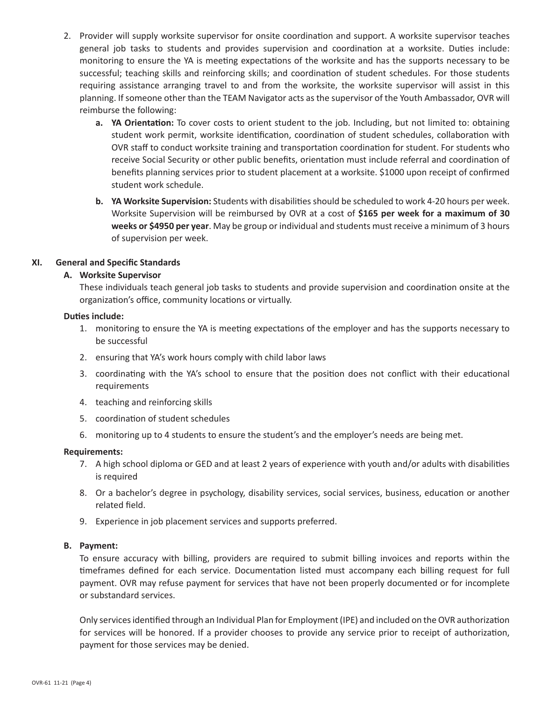- 2. Provider will supply worksite supervisor for onsite coordination and support. A worksite supervisor teaches general job tasks to students and provides supervision and coordination at a worksite. Duties include: monitoring to ensure the YA is meeting expectations of the worksite and has the supports necessary to be successful; teaching skills and reinforcing skills; and coordination of student schedules. For those students requiring assistance arranging travel to and from the worksite, the worksite supervisor will assist in this planning. If someone other than the TEAM Navigator acts as the supervisor of the Youth Ambassador, OVR will reimburse the following:
	- **a. YA Orientation:** To cover costs to orient student to the job. Including, but not limited to: obtaining student work permit, worksite identification, coordination of student schedules, collaboration with OVR staff to conduct worksite training and transportation coordination for student. For students who receive Social Security or other public benefits, orientation must include referral and coordination of benefits planning services prior to student placement at a worksite. \$1000 upon receipt of confirmed student work schedule.
	- **b. YA Worksite Supervision:** Students with disabilities should be scheduled to work 4-20 hours per week. Worksite Supervision will be reimbursed by OVR at a cost of **\$165 per week for a maximum of 30 weeks or \$4950 per year**. May be group or individual and students must receive a minimum of 3 hours of supervision per week.

## **XI. General and Specific Standards**

# **A. Worksite Supervisor**

These individuals teach general job tasks to students and provide supervision and coordination onsite at the organization's office, community locations or virtually.

## **Duties include:**

- 1. monitoring to ensure the YA is meeting expectations of the employer and has the supports necessary to be successful
- 2. ensuring that YA's work hours comply with child labor laws
- 3. coordinating with the YA's school to ensure that the position does not conflict with their educational requirements
- 4. teaching and reinforcing skills
- 5. coordination of student schedules
- 6. monitoring up to 4 students to ensure the student's and the employer's needs are being met.

#### **Requirements:**

- 7. A high school diploma or GED and at least 2 years of experience with youth and/or adults with disabilities is required
- 8. Or a bachelor's degree in psychology, disability services, social services, business, education or another related field.
- 9. Experience in job placement services and supports preferred.

#### **B. Payment:**

To ensure accuracy with billing, providers are required to submit billing invoices and reports within the timeframes defined for each service. Documentation listed must accompany each billing request for full payment. OVR may refuse payment for services that have not been properly documented or for incomplete or substandard services.

Only services identified through an Individual Plan for Employment (IPE) and included on the OVR authorization for services will be honored. If a provider chooses to provide any service prior to receipt of authorization, payment for those services may be denied.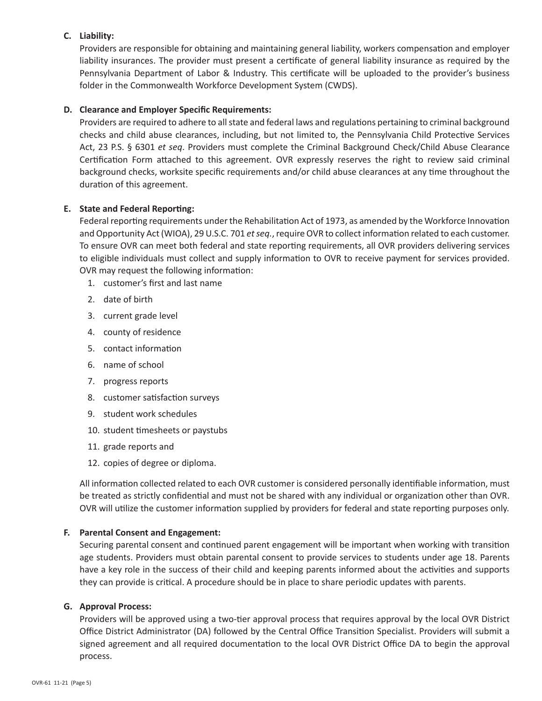# **C. Liability:**

Providers are responsible for obtaining and maintaining general liability, workers compensation and employer liability insurances. The provider must present a certificate of general liability insurance as required by the Pennsylvania Department of Labor & Industry. This certificate will be uploaded to the provider's business folder in the Commonwealth Workforce Development System (CWDS).

## **D. Clearance and Employer Specific Requirements:**

Providers are required to adhere to all state and federal laws and regulations pertaining to criminal background checks and child abuse clearances, including, but not limited to, the Pennsylvania Child Protective Services Act, 23 P.S. § 6301 *et seq*. Providers must complete the Criminal Background Check/Child Abuse Clearance Certification Form attached to this agreement. OVR expressly reserves the right to review said criminal background checks, worksite specific requirements and/or child abuse clearances at any time throughout the duration of this agreement.

## **E. State and Federal Reporting:**

Federal reporting requirements under the Rehabilitation Act of 1973, as amended by the Workforce Innovation and Opportunity Act (WIOA), 29 U.S.C. 701 *et seq.*, require OVR to collect information related to each customer. To ensure OVR can meet both federal and state reporting requirements, all OVR providers delivering services to eligible individuals must collect and supply information to OVR to receive payment for services provided. OVR may request the following information:

- 1. customer's first and last name
- 2. date of birth
- 3. current grade level
- 4. county of residence
- 5. contact information
- 6. name of school
- 7. progress reports
- 8. customer satisfaction surveys
- 9. student work schedules
- 10. student timesheets or paystubs
- 11. grade reports and
- 12. copies of degree or diploma.

All information collected related to each OVR customer is considered personally identifiable information, must be treated as strictly confidential and must not be shared with any individual or organization other than OVR. OVR will utilize the customer information supplied by providers for federal and state reporting purposes only.

## **F. Parental Consent and Engagement:**

Securing parental consent and continued parent engagement will be important when working with transition age students. Providers must obtain parental consent to provide services to students under age 18. Parents have a key role in the success of their child and keeping parents informed about the activities and supports they can provide is critical. A procedure should be in place to share periodic updates with parents.

## **G. Approval Process:**

Providers will be approved using a two-tier approval process that requires approval by the local OVR District Office District Administrator (DA) followed by the Central Office Transition Specialist. Providers will submit a signed agreement and all required documentation to the local OVR District Office DA to begin the approval process.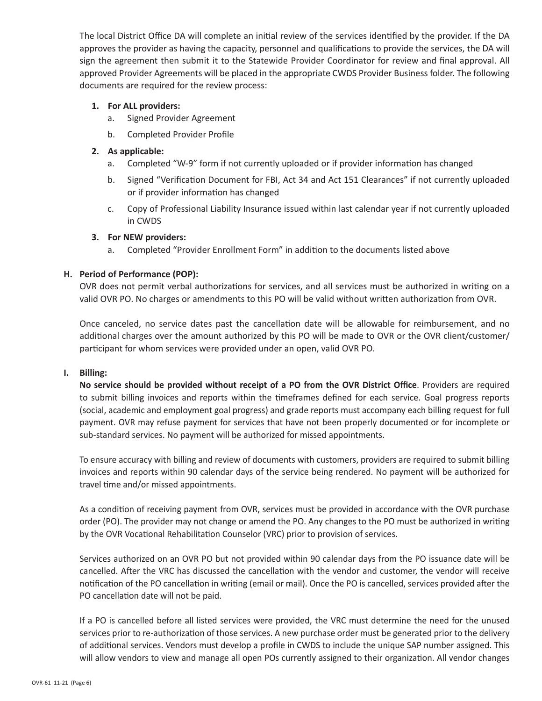The local District Office DA will complete an initial review of the services identified by the provider. If the DA approves the provider as having the capacity, personnel and qualifications to provide the services, the DA will sign the agreement then submit it to the Statewide Provider Coordinator for review and final approval. All approved Provider Agreements will be placed in the appropriate CWDS Provider Business folder. The following documents are required for the review process:

# **1. For ALL providers:**

- a. Signed Provider Agreement
- b. Completed Provider Profile

# **2. As applicable:**

- a. Completed "W-9" form if not currently uploaded or if provider information has changed
- b. Signed "Verification Document for FBI, Act 34 and Act 151 Clearances" if not currently uploaded or if provider information has changed
- c. Copy of Professional Liability Insurance issued within last calendar year if not currently uploaded in CWDS

# **3. For NEW providers:**

a. Completed "Provider Enrollment Form" in addition to the documents listed above

# **H. Period of Performance (POP):**

OVR does not permit verbal authorizations for services, and all services must be authorized in writing on a valid OVR PO. No charges or amendments to this PO will be valid without written authorization from OVR.

Once canceled, no service dates past the cancellation date will be allowable for reimbursement, and no additional charges over the amount authorized by this PO will be made to OVR or the OVR client/customer/ participant for whom services were provided under an open, valid OVR PO.

## **I. Billing:**

**No service should be provided without receipt of a PO from the OVR District Office**. Providers are required to submit billing invoices and reports within the timeframes defined for each service. Goal progress reports (social, academic and employment goal progress) and grade reports must accompany each billing request for full payment. OVR may refuse payment for services that have not been properly documented or for incomplete or sub-standard services. No payment will be authorized for missed appointments.

To ensure accuracy with billing and review of documents with customers, providers are required to submit billing invoices and reports within 90 calendar days of the service being rendered. No payment will be authorized for travel time and/or missed appointments.

 order (PO). The provider may not change or amend the PO. Any changes to the PO must be authorized in writing As a condition of receiving payment from OVR, services must be provided in accordance with the OVR purchase by the OVR Vocational Rehabilitation Counselor (VRC) prior to provision of services.

 cancelled. After the VRC has discussed the cancellation with the vendor and customer, the vendor will receive Services authorized on an OVR PO but not provided within 90 calendar days from the PO issuance date will be notification of the PO cancellation in writing (email or mail). Once the PO is cancelled, services provided after the PO cancellation date will not be paid.

 If a PO is cancelled before all listed services were provided, the VRC must determine the need for the unused of additional services. Vendors must develop a profile in CWDS to include the unique SAP number assigned. This services prior to re-authorization of those services. A new purchase order must be generated prior to the delivery will allow vendors to view and manage all open POs currently assigned to their organization. All vendor changes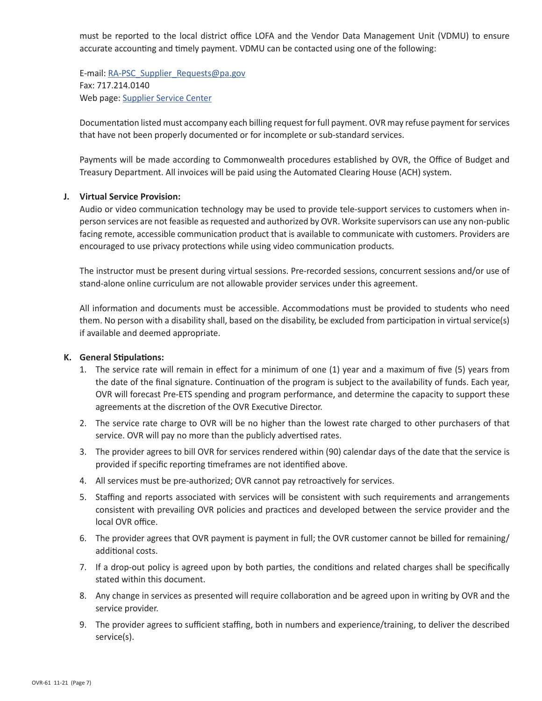must be reported to the local district office LOFA and the Vendor Data Management Unit (VDMU) to ensure accurate accounting and timely payment. VDMU can be contacted using one of the following:

E-mail: [RA-PSC\\_Supplier\\_Requests@pa.gov](mailto:RA-PSC_Supplier_Requests@pa.gov) Fax: 717.214.0140 Web page: [Supplier Service Center](https://www.dgs.pa.gov/Materials-Services-Procurement/Supplier-Service-Center/Pages/default.aspx)

Documentation listed must accompany each billing request for full payment. OVR may refuse payment for services that have not been properly documented or for incomplete or sub-standard services.

Payments will be made according to Commonwealth procedures established by OVR, the Office of Budget and Treasury Department. All invoices will be paid using the Automated Clearing House (ACH) system.

#### **J. Virtual Service Provision:**

Audio or video communication technology may be used to provide tele-support services to customers when inperson services are not feasible as requested and authorized by OVR. Worksite supervisors can use any non-public facing remote, accessible communication product that is available to communicate with customers. Providers are encouraged to use privacy protections while using video communication products.

The instructor must be present during virtual sessions. Pre-recorded sessions, concurrent sessions and/or use of stand-alone online curriculum are not allowable provider services under this agreement.

All information and documents must be accessible. Accommodations must be provided to students who need them. No person with a disability shall, based on the disability, be excluded from participation in virtual service(s) if available and deemed appropriate.

## **K. General Stipulations:**

- the date of the final signature. Continuation of the program is subject to the availability of funds. Each year, 1. The service rate will remain in effect for a minimum of one (1) year and a maximum of five (5) years from OVR will forecast Pre-ETS spending and program performance, and determine the capacity to support these agreements at the discretion of the OVR Executive Director.
- 2. The service rate charge to OVR will be no higher than the lowest rate charged to other purchasers of that service. OVR will pay no more than the publicly advertised rates.
- 3. The provider agrees to bill OVR for services rendered within (90) calendar days of the date that the service is provided if specific reporting timeframes are not identified above.
- 4. All services must be pre-authorized; OVR cannot pay retroactively for services.
- 5. Staffing and reports associated with services will be consistent with such requirements and arrangements consistent with prevailing OVR policies and practices and developed between the service provider and the local OVR office.
- 6. The provider agrees that OVR payment is payment in full; the OVR customer cannot be billed for remaining/ additional costs.
- 7. If a drop-out policy is agreed upon by both parties, the conditions and related charges shall be specifically stated within this document.
- 8. Any change in services as presented will require collaboration and be agreed upon in writing by OVR and the service provider.
- 9. The provider agrees to sufficient staffing, both in numbers and experience/training, to deliver the described service(s).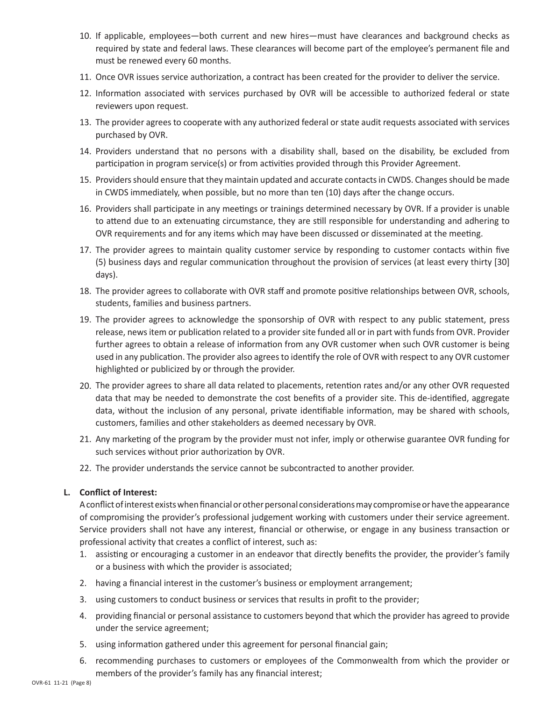- 10. If applicable, employees—both current and new hires—must have clearances and background checks as required by state and federal laws. These clearances will become part of the employee's permanent file and must be renewed every 60 months.
- 11. Once OVR issues service authorization, a contract has been created for the provider to deliver the service.
- 12. Information associated with services purchased by OVR will be accessible to authorized federal or state reviewers upon request.
- 13. The provider agrees to cooperate with any authorized federal or state audit requests associated with services purchased by OVR.
- 14. Providers understand that no persons with a disability shall, based on the disability, be excluded from participation in program service(s) or from activities provided through this Provider Agreement.
- 15. Providers should ensure that they maintain updated and accurate contacts in CWDS. Changes should be made in CWDS immediately, when possible, but no more than ten (10) days after the change occurs.
- 16. Providers shall participate in any meetings or trainings determined necessary by OVR. If a provider is unable to attend due to an extenuating circumstance, they are still responsible for understanding and adhering to OVR requirements and for any items which may have been discussed or disseminated at the meeting.
- 17. The provider agrees to maintain quality customer service by responding to customer contacts within five (5) business days and regular communication throughout the provision of services (at least every thirty [30] days).
- 18. The provider agrees to collaborate with OVR staff and promote positive relationships between OVR, schools, students, families and business partners.
- 19. The provider agrees to acknowledge the sponsorship of OVR with respect to any public statement, press release, news item or publication related to a provider site funded all or in part with funds from OVR. Provider further agrees to obtain a release of information from any OVR customer when such OVR customer is being used in any publication. The provider also agrees to identify the role of OVR with respect to any OVR customer highlighted or publicized by or through the provider.
- data that may be needed to demonstrate the cost benefits of a provider site. This de-identified, aggregate data, without the inclusion of any personal, private identifiable information, may be shared with schools, 20. The provider agrees to share all data related to placements, retention rates and/or any other OVR requested customers, families and other stakeholders as deemed necessary by OVR.
- 21. Any marketing of the program by the provider must not infer, imply or otherwise guarantee OVR funding for such services without prior authorization by OVR.
- 22. The provider understands the service cannot be subcontracted to another provider.

## **L. Conflict of Interest:**

 A conflict of interest exists when financial or other personal considerations may compromise or have theappearance of compromising the provider's professional judgement working with customers under their service agreement. Service providers shall not have any interest, financial or otherwise, or engage in any business transaction or professional activity that creates a conflict of interest, such as:

- 1. assisting or encouraging a customer in an endeavor that directly benefits the provider, the provider's family or a business with which the provider is associated;
- 2. having a financial interest in the customer's business or employment arrangement;
- 3. using customers to conduct business or services that results in profit to the provider;
- 4. providing financial or personal assistance to customers beyond that which the provider has agreed to provide under the service agreement;
- 5. using information gathered under this agreement for personal financial gain;
- 6. recommending purchases to customers or employees of the Commonwealth from which the provider or members of the provider's family has any financial interest;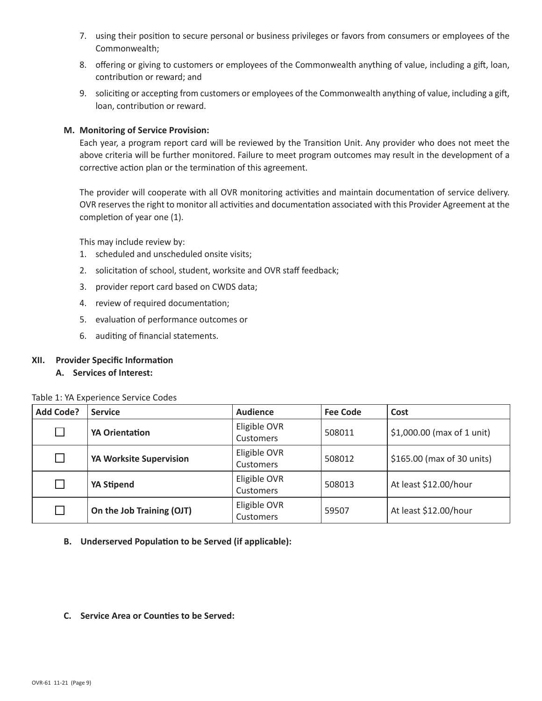- 7. using their position to secure personal or business privileges or favors from consumers or employees of the Commonwealth;
- 8. offering or giving to customers or employees of the Commonwealth anything of value, including a gift, loan, contribution or reward; and
- 9. soliciting or accepting from customers or employees of the Commonwealth anything of value, including a gift, loan, contribution or reward.

#### **M. Monitoring of Service Provision:**

Each year, a program report card will be reviewed by the Transition Unit. Any provider who does not meet the above criteria will be further monitored. Failure to meet program outcomes may result in the development of a corrective action plan or the termination of this agreement.

The provider will cooperate with all OVR monitoring activities and maintain documentation of service delivery. OVR reserves the right to monitor all activities and documentation associated with this Provider Agreement at the completion of year one (1).

This may include review by:

- 1. scheduled and unscheduled onsite visits;
- 2. solicitation of school, student, worksite and OVR staff feedback;
- 3. provider report card based on CWDS data;
- 4. review of required documentation;
- 5. evaluation of performance outcomes or
- 6. auditing of financial statements.

## **XII. Provider Specific Information**

**A. Services of Interest:**

| Table 1: YA Experience Service Codes |  |  |
|--------------------------------------|--|--|
|--------------------------------------|--|--|

| <b>Add Code?</b> | <b>Service</b>            | <b>Audience</b>                  | <b>Fee Code</b> | Cost                       |
|------------------|---------------------------|----------------------------------|-----------------|----------------------------|
| $\Box$           | <b>YA Orientation</b>     | Eligible OVR<br><b>Customers</b> | 508011          | \$1,000.00 (max of 1 unit) |
| П                | YA Worksite Supervision   | Eligible OVR<br><b>Customers</b> | 508012          | \$165.00 (max of 30 units) |
| П                | YA Stipend                | Eligible OVR<br><b>Customers</b> | 508013          | At least \$12.00/hour      |
| П                | On the Job Training (OJT) | Eligible OVR<br>Customers        | 59507           | At least \$12.00/hour      |

- **B. Underserved Population to be Served (if applicable):**
- **C. Service Area or Counties to be Served:**